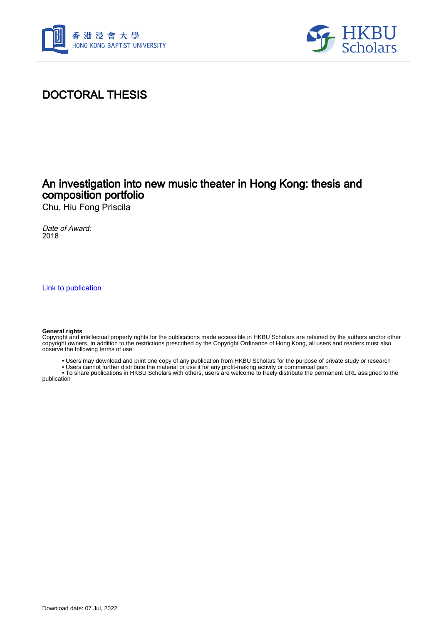



# DOCTORAL THESIS

## An investigation into new music theater in Hong Kong: thesis and composition portfolio

Chu, Hiu Fong Priscila

Date of Award: 2018

[Link to publication](https://scholars.hkbu.edu.hk/en/studentTheses/43854740-19d0-4a6d-8c9c-43467151622d)

#### **General rights**

Copyright and intellectual property rights for the publications made accessible in HKBU Scholars are retained by the authors and/or other copyright owners. In addition to the restrictions prescribed by the Copyright Ordinance of Hong Kong, all users and readers must also observe the following terms of use:

- Users may download and print one copy of any publication from HKBU Scholars for the purpose of private study or research
- Users cannot further distribute the material or use it for any profit-making activity or commercial gain

 • To share publications in HKBU Scholars with others, users are welcome to freely distribute the permanent URL assigned to the publication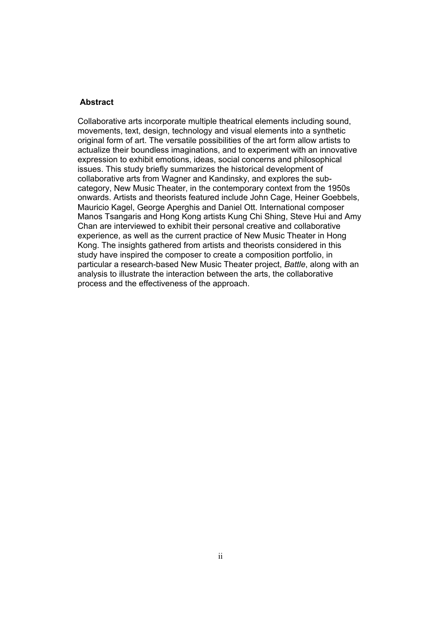### **Abstract**

Collaborative arts incorporate multiple theatrical elements including sound, movements, text, design, technology and visual elements into a synthetic original form of art. The versatile possibilities of the art form allow artists to actualize their boundless imaginations, and to experiment with an innovative expression to exhibit emotions, ideas, social concerns and philosophical issues. This study briefly summarizes the historical development of collaborative arts from Wagner and Kandinsky, and explores the subcategory, New Music Theater, in the contemporary context from the 1950s onwards. Artists and theorists featured include John Cage, Heiner Goebbels, Mauricio Kagel, George Aperghis and Daniel Ott. International composer Manos Tsangaris and Hong Kong artists Kung Chi Shing, Steve Hui and Amy Chan are interviewed to exhibit their personal creative and collaborative experience, as well as the current practice of New Music Theater in Hong Kong. The insights gathered from artists and theorists considered in this study have inspired the composer to create a composition portfolio, in particular a research-based New Music Theater project, *Battle*, along with an analysis to illustrate the interaction between the arts, the collaborative process and the effectiveness of the approach.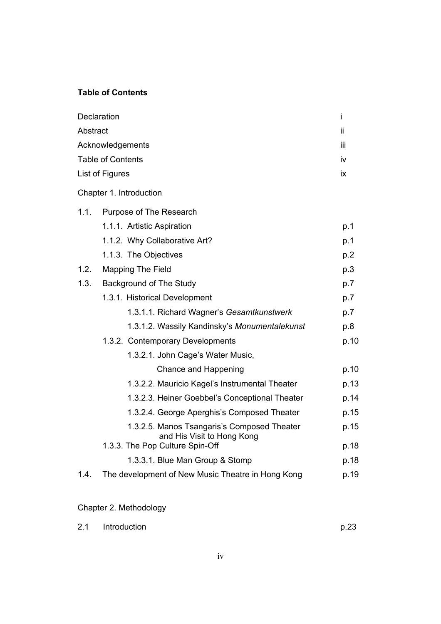### **Table of Contents**

|          | Declaration                                                               | İ    |
|----------|---------------------------------------------------------------------------|------|
| Abstract |                                                                           | ii   |
|          | Acknowledgements                                                          | iίi  |
|          | <b>Table of Contents</b>                                                  | iv   |
|          | List of Figures                                                           | ix   |
|          | Chapter 1. Introduction                                                   |      |
| 1.1.     | Purpose of The Research                                                   |      |
|          | 1.1.1. Artistic Aspiration                                                | p.1  |
|          | 1.1.2. Why Collaborative Art?                                             | p.1  |
|          | 1.1.3. The Objectives                                                     | p.2  |
| 1.2.     | <b>Mapping The Field</b>                                                  | p.3  |
| 1.3.     | Background of The Study                                                   | p.7  |
|          | 1.3.1. Historical Development                                             | p.7  |
|          | 1.3.1.1. Richard Wagner's Gesamtkunstwerk                                 | p.7  |
|          | 1.3.1.2. Wassily Kandinsky's Monumentalekunst                             | p.8  |
|          | 1.3.2. Contemporary Developments                                          | p.10 |
|          | 1.3.2.1. John Cage's Water Music,                                         |      |
|          | Chance and Happening                                                      | p.10 |
|          | 1.3.2.2. Mauricio Kagel's Instrumental Theater                            | p.13 |
|          | 1.3.2.3. Heiner Goebbel's Conceptional Theater                            | p.14 |
|          | 1.3.2.4. George Aperghis's Composed Theater                               | p.15 |
|          | 1.3.2.5. Manos Tsangaris's Composed Theater<br>and His Visit to Hong Kong | p.15 |
|          | 1.3.3. The Pop Culture Spin-Off                                           | p.18 |
|          | 1.3.3.1. Blue Man Group & Stomp                                           | p.18 |
| 1.4.     | The development of New Music Theatre in Hong Kong                         | p.19 |

## Chapter 2. Methodology

| 2.1 | Introduction | p.23 |
|-----|--------------|------|
|-----|--------------|------|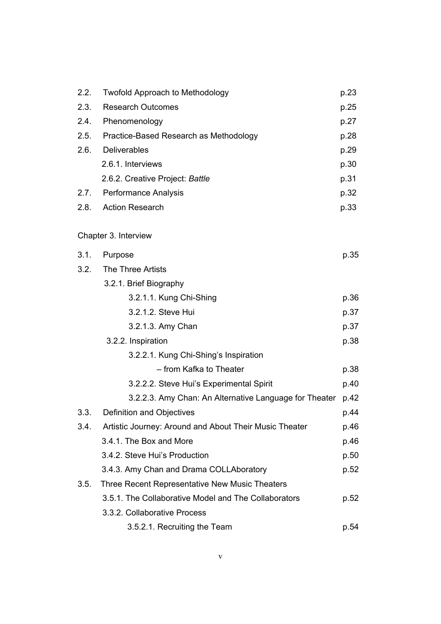| 2.2. | <b>Twofold Approach to Methodology</b>                 | p.23 |
|------|--------------------------------------------------------|------|
| 2.3. | <b>Research Outcomes</b>                               | p.25 |
| 2.4. | Phenomenology                                          | p.27 |
| 2.5. | Practice-Based Research as Methodology                 | p.28 |
| 2.6. | <b>Deliverables</b>                                    | p.29 |
|      | 2.6.1. Interviews                                      | p.30 |
|      | 2.6.2. Creative Project: Battle                        | p.31 |
| 2.7. | <b>Performance Analysis</b>                            | p.32 |
| 2.8. | <b>Action Research</b>                                 | p.33 |
|      | Chapter 3. Interview                                   |      |
| 3.1. | Purpose                                                | p.35 |
| 3.2. | <b>The Three Artists</b>                               |      |
|      | 3.2.1. Brief Biography                                 |      |
|      | 3.2.1.1. Kung Chi-Shing                                | p.36 |
|      | 3.2.1.2. Steve Hui                                     | p.37 |
|      | 3.2.1.3. Amy Chan                                      | p.37 |
|      | 3.2.2. Inspiration                                     | p.38 |
|      | 3.2.2.1. Kung Chi-Shing's Inspiration                  |      |
|      | - from Kafka to Theater                                | p.38 |
|      | 3.2.2.2. Steve Hui's Experimental Spirit               | p.40 |
|      | 3.2.2.3. Amy Chan: An Alternative Language for Theater | p.42 |
| 3.3. | Definition and Objectives                              | p.44 |
| 3.4. | Artistic Journey: Around and About Their Music Theater | p.46 |
|      | 3.4.1. The Box and More                                | p.46 |
|      | 3.4.2. Steve Hui's Production                          | p.50 |
|      | 3.4.3. Amy Chan and Drama COLLAboratory                | p.52 |
| 3.5. | Three Recent Representative New Music Theaters         |      |
|      | 3.5.1. The Collaborative Model and The Collaborators   | p.52 |
|      | 3.3.2. Collaborative Process                           |      |
|      | 3.5.2.1. Recruiting the Team                           | p.54 |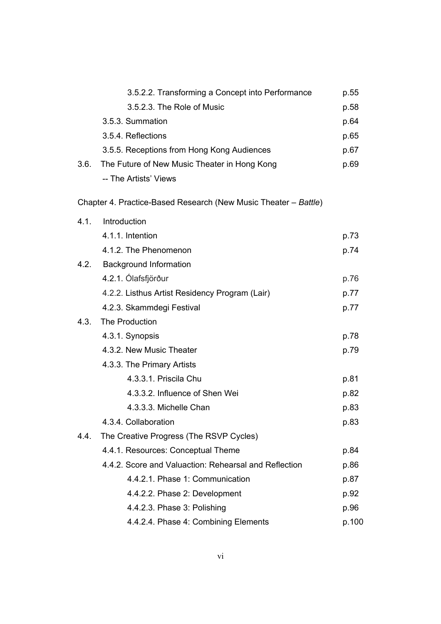|      | 3.5.2.2. Transforming a Concept into Performance                | p.55  |
|------|-----------------------------------------------------------------|-------|
|      | 3.5.2.3. The Role of Music                                      | p.58  |
|      | 3.5.3. Summation                                                | p.64  |
|      | 3.5.4. Reflections                                              | p.65  |
|      | 3.5.5. Receptions from Hong Kong Audiences                      | p.67  |
| 3.6. | The Future of New Music Theater in Hong Kong                    | p.69  |
|      | -- The Artists' Views                                           |       |
|      | Chapter 4. Practice-Based Research (New Music Theater - Battle) |       |
| 4.1. | Introduction                                                    |       |
|      | 4.1.1. Intention                                                | p.73  |
|      | 4.1.2. The Phenomenon                                           | p.74  |
| 4.2. | <b>Background Information</b>                                   |       |
|      | 4.2.1. Ólafsfjörður                                             | p.76  |
|      | 4.2.2. Listhus Artist Residency Program (Lair)                  | p.77  |
|      | 4.2.3. Skammdegi Festival                                       | p.77  |
| 4.3. | The Production                                                  |       |
|      | 4.3.1. Synopsis                                                 | p.78  |
|      | 4.3.2. New Music Theater                                        | p.79  |
|      | 4.3.3. The Primary Artists                                      |       |
|      | 4.3.3.1. Priscila Chu                                           | p.81  |
|      | 4.3.3.2. Influence of Shen Wei                                  | p.82  |
|      | 4.3.3.3. Michelle Chan                                          | p.83  |
|      | 4.3.4. Collaboration                                            | p.83  |
| 4.4. | The Creative Progress (The RSVP Cycles)                         |       |
|      | 4.4.1. Resources: Conceptual Theme                              | p.84  |
|      | 4.4.2. Score and Valuaction: Rehearsal and Reflection           | p.86  |
|      | 4.4.2.1. Phase 1: Communication                                 | p.87  |
|      | 4.4.2.2. Phase 2: Development                                   | p.92  |
|      | 4.4.2.3. Phase 3: Polishing                                     | p.96  |
|      | 4.4.2.4. Phase 4: Combining Elements                            | p.100 |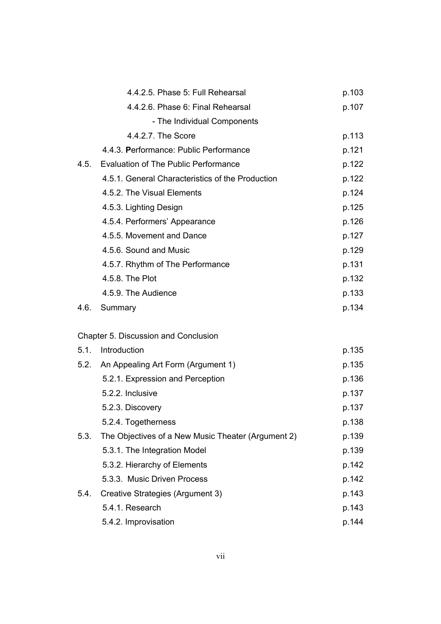|      | 4.4.2.5. Phase 5: Full Rehearsal                   | p.103 |
|------|----------------------------------------------------|-------|
|      | 4.4.2.6. Phase 6: Final Rehearsal                  | p.107 |
|      | - The Individual Components                        |       |
|      | 4.4.2.7. The Score                                 | p.113 |
|      | 4.4.3. Performance: Public Performance             | p.121 |
| 4.5. | <b>Evaluation of The Public Performance</b>        | p.122 |
|      | 4.5.1. General Characteristics of the Production   | p.122 |
|      | 4.5.2. The Visual Elements                         | p.124 |
|      | 4.5.3. Lighting Design                             | p.125 |
|      | 4.5.4. Performers' Appearance                      | p.126 |
|      | 4.5.5. Movement and Dance                          | p.127 |
|      | 4.5.6. Sound and Music                             | p.129 |
|      | 4.5.7. Rhythm of The Performance                   | p.131 |
|      | 4.5.8. The Plot                                    | p.132 |
|      | 4.5.9. The Audience                                | p.133 |
| 4.6. | Summary                                            | p.134 |
|      |                                                    |       |
|      | Chapter 5. Discussion and Conclusion               |       |
| 5.1. | Introduction                                       | p.135 |
|      | 5.2. An Appealing Art Form (Argument 1)            | p.135 |
|      | 5.2.1. Expression and Perception                   | p.136 |
|      | 5.2.2. Inclusive                                   | p.137 |
|      | 5.2.3. Discovery                                   | p.137 |
|      | 5.2.4. Togetherness                                | p.138 |
| 5.3. | The Objectives of a New Music Theater (Argument 2) | p.139 |
|      | 5.3.1. The Integration Model                       | p.139 |
|      | 5.3.2. Hierarchy of Elements                       | p.142 |
|      | 5.3.3. Music Driven Process                        | p.142 |
| 5.4. | Creative Strategies (Argument 3)                   | p.143 |
|      | 5.4.1. Research                                    | p.143 |
|      | 5.4.2. Improvisation                               | p.144 |
|      |                                                    |       |